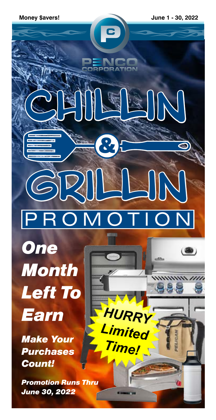